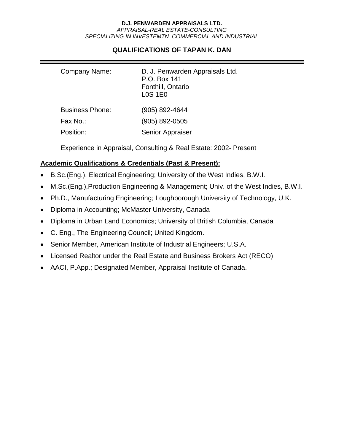#### **D.J. PENWARDEN APPRAISALS LTD.** *APPRAISAL-REAL ESTATE-CONSULTING SPECIALIZING IN INVESTEMTN. COMMERCIAL AND INDUSTRIAL*

# **QUALIFICATIONS OF TAPAN K. DAN**

| Company Name:          | D. J. Penwarden Appraisals Ltd.<br>P.O. Box 141<br>Fonthill, Ontario<br><b>LOS 1E0</b> |
|------------------------|----------------------------------------------------------------------------------------|
| <b>Business Phone:</b> | (905) 892-4644                                                                         |
| Fax No.:               | (905) 892-0505                                                                         |
| Position:              | <b>Senior Appraiser</b>                                                                |
|                        |                                                                                        |

Experience in Appraisal, Consulting & Real Estate: 2002- Present

# **Academic Qualifications & Credentials (Past & Present):**

- B.Sc.(Eng.), Electrical Engineering; University of the West Indies, B.W.I.
- M.Sc.(Eng.),Production Engineering & Management; Univ. of the West Indies, B.W.I.
- Ph.D., Manufacturing Engineering; Loughborough University of Technology, U.K.
- Diploma in Accounting; McMaster University, Canada
- Diploma in Urban Land Economics; University of British Columbia, Canada
- C. Eng., The Engineering Council; United Kingdom.
- Senior Member, American Institute of Industrial Engineers; U.S.A.
- Licensed Realtor under the Real Estate and Business Brokers Act (RECO)
- AACI, P.App.; Designated Member, Appraisal Institute of Canada.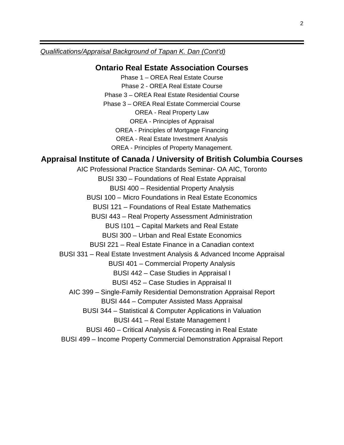#### **Ontario Real Estate Association Courses**

Phase 1 – OREA Real Estate Course Phase 2 - OREA Real Estate Course Phase 3 – OREA Real Estate Residential Course Phase 3 – OREA Real Estate Commercial Course OREA - Real Property Law OREA - Principles of Appraisal OREA - Principles of Mortgage Financing OREA - Real Estate Investment Analysis OREA - Principles of Property Management.

### **Appraisal Institute of Canada / University of British Columbia Courses**

AIC Professional Practice Standards Seminar- OA AIC, Toronto BUSI 330 – Foundations of Real Estate Appraisal BUSI 400 – Residential Property Analysis BUSI 100 – Micro Foundations in Real Estate Economics BUSI 121 – Foundations of Real Estate Mathematics BUSI 443 – Real Property Assessment Administration BUS I101 – Capital Markets and Real Estate BUSI 300 – Urban and Real Estate Economics BUSI 221 – Real Estate Finance in a Canadian context BUSI 331 – Real Estate Investment Analysis & Advanced Income Appraisal BUSI 401 – Commercial Property Analysis BUSI 442 – Case Studies in Appraisal I BUSI 452 – Case Studies in Appraisal II AIC 399 – Single-Family Residential Demonstration Appraisal Report BUSI 444 – Computer Assisted Mass Appraisal BUSI 344 – Statistical & Computer Applications in Valuation BUSI 441 – Real Estate Management I BUSI 460 – Critical Analysis & Forecasting in Real Estate

BUSI 499 – Income Property Commercial Demonstration Appraisal Report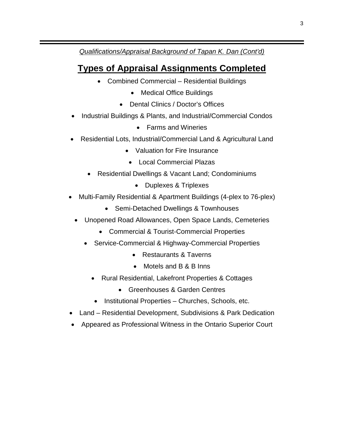# **Types of Appraisal Assignments Completed**

- Combined Commercial Residential Buildings
	- Medical Office Buildings
	- Dental Clinics / Doctor's Offices
- Industrial Buildings & Plants, and Industrial/Commercial Condos
	- Farms and Wineries
- Residential Lots, Industrial/Commercial Land & Agricultural Land
	- Valuation for Fire Insurance
		- Local Commercial Plazas
	- Residential Dwellings & Vacant Land; Condominiums
		- Duplexes & Triplexes
- Multi-Family Residential & Apartment Buildings (4-plex to 76-plex)
	- Semi-Detached Dwellings & Townhouses
	- Unopened Road Allowances, Open Space Lands, Cemeteries
		- Commercial & Tourist-Commercial Properties
		- Service-Commercial & Highway-Commercial Properties
			- Restaurants & Taverns
			- Motels and B & B Inns
			- Rural Residential, Lakefront Properties & Cottages
				- Greenhouses & Garden Centres
			- Institutional Properties Churches, Schools, etc.
- Land Residential Development, Subdivisions & Park Dedication
- Appeared as Professional Witness in the Ontario Superior Court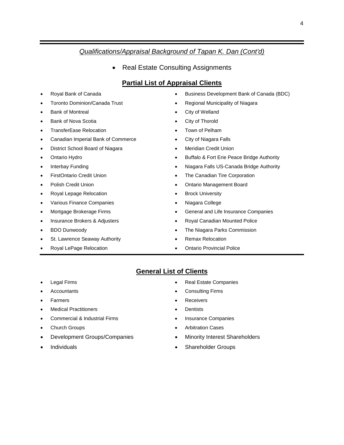• Real Estate Consulting Assignments

#### **Partial List of Appraisal Clients**

- 
- 
- 
- Bank of Nova Scotia City of Thorold
- TransferEase Relocation Town of Pelham
- Canadian Imperial Bank of Commerce City of Niagara Falls
- **District School Board of Niagara •** Meridian Credit Union
- 
- 
- 
- 
- Royal Lepage Relocation  **Brock University**
- Various Finance Companies Niagara College
- 
- 
- 
- St. Lawrence Seaway Authority  **Remax Relocation**
- 
- **Pank of Canada Business Development Bank of Canada (BDC)** Business Development Bank of Canada (BDC)
- Toronto Dominion/Canada Trust **•** Regional Municipality of Niagara
- **Bank of Montreal City of Welland** 
	-
	-
	-
	-
- Ontario Hydro Buffalo & Fort Erie Peace Bridge Authority
- Interbay Funding **Funding 1988 Niagara Falls US-Canada Bridge Authority**
- FirstOntario Credit Union The Canadian Tire Corporation
- Polish Credit Union Ontario Management Board
	-
	-
- Mortgage Brokerage Firms General and Life Insurance Companies
- Insurance Brokers & Adjusters Royal Canadian Mounted Police
- BDO Dunwoody The Niagara Parks Commission
	-
- Royal LePage Relocation Ontario Provincial Police

#### **General List of Clients**

- 
- 
- 
- Medical Practitioners Dentists
- Commercial & Industrial Firms Insurance Companies
- 
- 
- 
- Legal Firms  **Real Estate Companies**
- Accountants Consulting Firms
- Farmers Receivers
	-
	-
- Church Groups Arbitration Cases
- Development Groups/Companies Minority Interest Shareholders
- Individuals Shareholder Groups